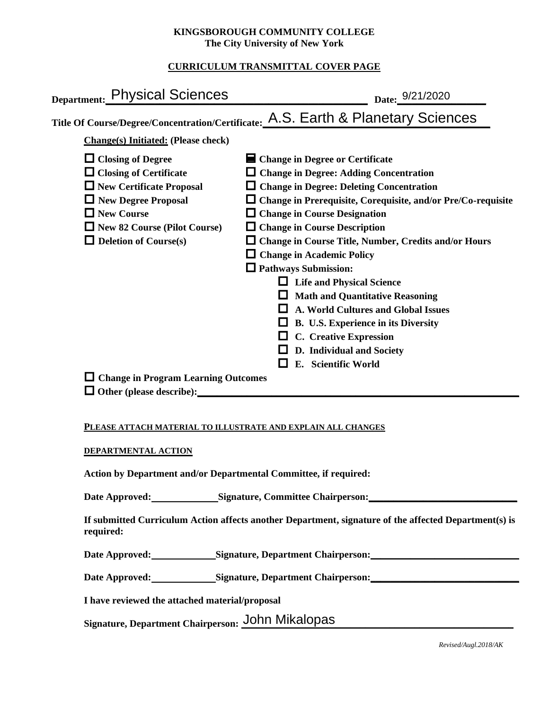## **KINGSBOROUGH COMMUNITY COLLEGE The City University of New York**

# **CURRICULUM TRANSMITTAL COVER PAGE**

| Title Of Course/Degree/Concentration/Certificate: A.S. Earth & Planetary Sciences<br>Change in Degree or Certificate<br>$\Box$ Change in Degree: Adding Concentration<br>$\Box$ Change in Degree: Deleting Concentration<br>$\Box$ Change in Prerequisite, Corequisite, and/or Pre/Co-requisite                                                                                                                                                               |
|---------------------------------------------------------------------------------------------------------------------------------------------------------------------------------------------------------------------------------------------------------------------------------------------------------------------------------------------------------------------------------------------------------------------------------------------------------------|
|                                                                                                                                                                                                                                                                                                                                                                                                                                                               |
|                                                                                                                                                                                                                                                                                                                                                                                                                                                               |
| $\Box$ Change in Course Designation<br>$\Box$ Change in Course Description<br>$\Box$ Change in Course Title, Number, Credits and/or Hours<br>$\Box$ Change in Academic Policy<br>$\Box$ Pathways Submission:<br><b>Life and Physical Science</b><br><b>Math and Quantitative Reasoning</b><br><b>A. World Cultures and Global Issues</b><br>B. U.S. Experience in its Diversity<br>C. Creative Expression<br>D. Individual and Society<br>E. Scientific World |
|                                                                                                                                                                                                                                                                                                                                                                                                                                                               |

## **PLEASE ATTACH MATERIAL TO ILLUSTRATE AND EXPLAIN ALL CHANGES**

### **DEPARTMENTAL ACTION**

**Action by Department and/or Departmental Committee, if required:**

Date Approved: Signature, Committee Chairperson:

**If submitted Curriculum Action affects another Department, signature of the affected Department(s) is required:**

Date Approved: Signature, Department Chairperson:

Date Approved: Signature, Department Chairperson: Networking the Approved: Networking State Approved:

**I have reviewed the attached material/proposal**

Signature, Department Chairperson: John Mikalopas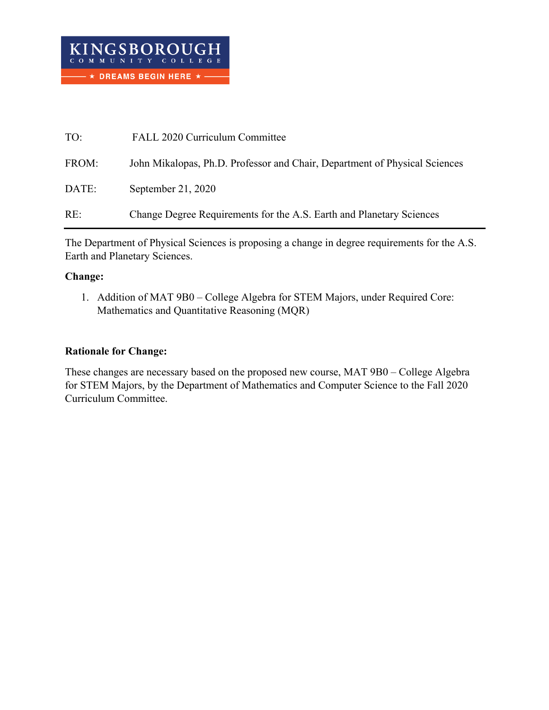| TO:   | FALL 2020 Curriculum Committee                                             |
|-------|----------------------------------------------------------------------------|
| FROM: | John Mikalopas, Ph.D. Professor and Chair, Department of Physical Sciences |
| DATE: | September 21, 2020                                                         |
| RE:   | Change Degree Requirements for the A.S. Earth and Planetary Sciences       |

The Department of Physical Sciences is proposing a change in degree requirements for the A.S. Earth and Planetary Sciences.

## **Change:**

1. Addition of MAT 9B0 – College Algebra for STEM Majors, under Required Core: Mathematics and Quantitative Reasoning (MQR)

# **Rationale for Change:**

These changes are necessary based on the proposed new course, MAT 9B0 – College Algebra for STEM Majors, by the Department of Mathematics and Computer Science to the Fall 2020 Curriculum Committee.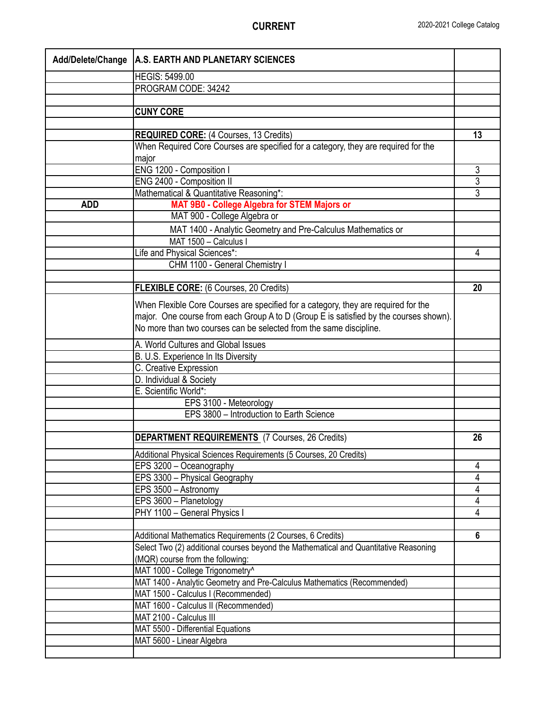| Add/Delete/Change | <b>A.S. EARTH AND PLANETARY SCIENCES</b>                                              |                |
|-------------------|---------------------------------------------------------------------------------------|----------------|
|                   | <b>HEGIS: 5499.00</b>                                                                 |                |
|                   | PROGRAM CODE: 34242                                                                   |                |
|                   |                                                                                       |                |
|                   | <b>CUNY CORE</b>                                                                      |                |
|                   |                                                                                       |                |
|                   | <b>REQUIRED CORE: (4 Courses, 13 Credits)</b>                                         | 13             |
|                   | When Required Core Courses are specified for a category, they are required for the    |                |
|                   | major                                                                                 |                |
|                   | ENG 1200 - Composition I                                                              | 3              |
|                   | ENG 2400 - Composition II                                                             | $\overline{3}$ |
|                   | Mathematical & Quantitative Reasoning*:                                               | $\overline{3}$ |
| <b>ADD</b>        | MAT 9B0 - College Algebra for STEM Majors or                                          |                |
|                   | MAT 900 - College Algebra or                                                          |                |
|                   | MAT 1400 - Analytic Geometry and Pre-Calculus Mathematics or                          |                |
|                   | MAT 1500 - Calculus I                                                                 |                |
|                   | Life and Physical Sciences*:                                                          | 4              |
|                   | CHM 1100 - General Chemistry I                                                        |                |
|                   |                                                                                       |                |
|                   | FLEXIBLE CORE: (6 Courses, 20 Credits)                                                | 20             |
|                   | When Flexible Core Courses are specified for a category, they are required for the    |                |
|                   | major. One course from each Group A to D (Group E is satisfied by the courses shown). |                |
|                   | No more than two courses can be selected from the same discipline.                    |                |
|                   | A. World Cultures and Global Issues                                                   |                |
|                   | B. U.S. Experience In Its Diversity                                                   |                |
|                   | C. Creative Expression                                                                |                |
|                   | D. Individual & Society                                                               |                |
|                   | E. Scientific World*:                                                                 |                |
|                   | EPS 3100 - Meteorology                                                                |                |
|                   | EPS 3800 - Introduction to Earth Science                                              |                |
|                   |                                                                                       |                |
|                   | <b>DEPARTMENT REQUIREMENTS</b> (7 Courses, 26 Credits)                                | 26             |
|                   | Additional Physical Sciences Requirements (5 Courses, 20 Credits)                     |                |
|                   | EPS 3200 - Oceanography                                                               | 4              |
|                   | EPS 3300 - Physical Geography                                                         | 4              |
|                   | EPS 3500 - Astronomy                                                                  | 4              |
|                   | EPS 3600 - Planetology                                                                | 4              |
|                   | PHY 1100 - General Physics I                                                          | 4              |
|                   |                                                                                       |                |
|                   | Additional Mathematics Requirements (2 Courses, 6 Credits)                            | 6              |
|                   | Select Two (2) additional courses beyond the Mathematical and Quantitative Reasoning  |                |
|                   | (MQR) course from the following:                                                      |                |
|                   | MAT 1000 - College Trigonometry^                                                      |                |
|                   | MAT 1400 - Analytic Geometry and Pre-Calculus Mathematics (Recommended)               |                |
|                   | MAT 1500 - Calculus I (Recommended)                                                   |                |
|                   | MAT 1600 - Calculus II (Recommended)                                                  |                |
|                   | MAT 2100 - Calculus III                                                               |                |
|                   | MAT 5500 - Differential Equations                                                     |                |
|                   | MAT 5600 - Linear Algebra                                                             |                |
|                   |                                                                                       |                |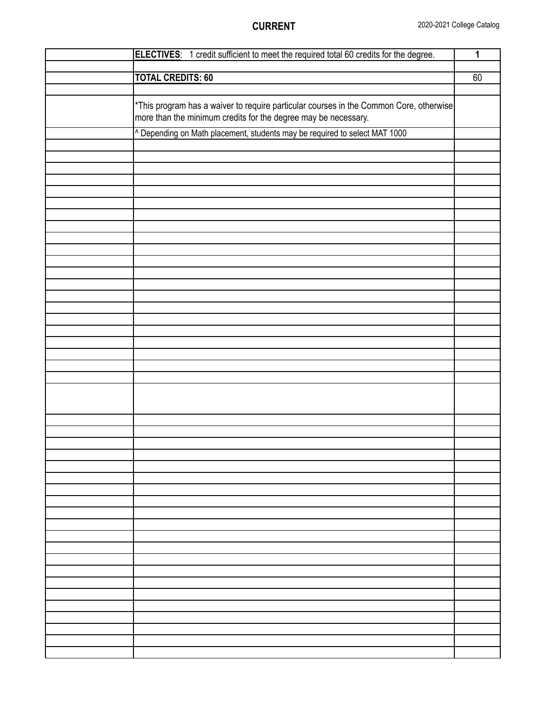| ELECTIVES: 1 credit sufficient to meet the required total 60 credits for the degree.                                                                     | 1  |
|----------------------------------------------------------------------------------------------------------------------------------------------------------|----|
|                                                                                                                                                          |    |
| <b>TOTAL CREDITS: 60</b>                                                                                                                                 | 60 |
|                                                                                                                                                          |    |
|                                                                                                                                                          |    |
| *This program has a waiver to require particular courses in the Common Core, otherwise<br>more than the minimum credits for the degree may be necessary. |    |
| ^ Depending on Math placement, students may be required to select MAT 1000                                                                               |    |
|                                                                                                                                                          |    |
|                                                                                                                                                          |    |
|                                                                                                                                                          |    |
|                                                                                                                                                          |    |
|                                                                                                                                                          |    |
|                                                                                                                                                          |    |
|                                                                                                                                                          |    |
|                                                                                                                                                          |    |
|                                                                                                                                                          |    |
|                                                                                                                                                          |    |
|                                                                                                                                                          |    |
|                                                                                                                                                          |    |
|                                                                                                                                                          |    |
|                                                                                                                                                          |    |
|                                                                                                                                                          |    |
|                                                                                                                                                          |    |
|                                                                                                                                                          |    |
|                                                                                                                                                          |    |
|                                                                                                                                                          |    |
|                                                                                                                                                          |    |
|                                                                                                                                                          |    |
|                                                                                                                                                          |    |
|                                                                                                                                                          |    |
|                                                                                                                                                          |    |
|                                                                                                                                                          |    |
|                                                                                                                                                          |    |
|                                                                                                                                                          |    |
|                                                                                                                                                          |    |
|                                                                                                                                                          |    |
|                                                                                                                                                          |    |
|                                                                                                                                                          |    |
|                                                                                                                                                          |    |
|                                                                                                                                                          |    |
|                                                                                                                                                          |    |
|                                                                                                                                                          |    |
|                                                                                                                                                          |    |
|                                                                                                                                                          |    |
|                                                                                                                                                          |    |
|                                                                                                                                                          |    |
|                                                                                                                                                          |    |
|                                                                                                                                                          |    |
|                                                                                                                                                          |    |
|                                                                                                                                                          |    |
|                                                                                                                                                          |    |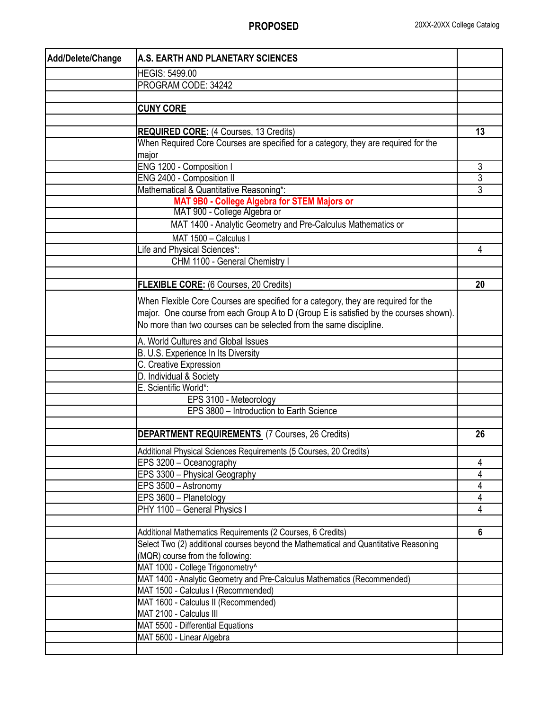| Add/Delete/Change | A.S. EARTH AND PLANETARY SCIENCES                                                                                                                  |                |
|-------------------|----------------------------------------------------------------------------------------------------------------------------------------------------|----------------|
|                   | <b>HEGIS: 5499.00</b>                                                                                                                              |                |
|                   | PROGRAM CODE: 34242                                                                                                                                |                |
|                   |                                                                                                                                                    |                |
|                   | <b>CUNY CORE</b>                                                                                                                                   |                |
|                   |                                                                                                                                                    |                |
|                   | <b>REQUIRED CORE: (4 Courses, 13 Credits)</b>                                                                                                      | 13             |
|                   | When Required Core Courses are specified for a category, they are required for the                                                                 |                |
|                   | major                                                                                                                                              |                |
|                   | ENG 1200 - Composition I                                                                                                                           | 3              |
|                   | ENG 2400 - Composition II                                                                                                                          | $\overline{3}$ |
|                   | Mathematical & Quantitative Reasoning*:                                                                                                            | 3              |
|                   | MAT 9B0 - College Algebra for STEM Majors or<br>MAT 900 - College Algebra or                                                                       |                |
|                   |                                                                                                                                                    |                |
|                   | MAT 1400 - Analytic Geometry and Pre-Calculus Mathematics or                                                                                       |                |
|                   | MAT 1500 - Calculus I                                                                                                                              |                |
|                   | Life and Physical Sciences*:                                                                                                                       | 4              |
|                   | CHM 1100 - General Chemistry I                                                                                                                     |                |
|                   | FLEXIBLE CORE: (6 Courses, 20 Credits)                                                                                                             | 20             |
|                   |                                                                                                                                                    |                |
|                   | When Flexible Core Courses are specified for a category, they are required for the                                                                 |                |
|                   | major. One course from each Group A to D (Group E is satisfied by the courses shown).                                                              |                |
|                   | No more than two courses can be selected from the same discipline.                                                                                 |                |
|                   | A. World Cultures and Global Issues                                                                                                                |                |
|                   | B. U.S. Experience In Its Diversity                                                                                                                |                |
|                   | C. Creative Expression                                                                                                                             |                |
|                   | D. Individual & Society                                                                                                                            |                |
|                   | E. Scientific World*:                                                                                                                              |                |
|                   | EPS 3100 - Meteorology                                                                                                                             |                |
|                   | EPS 3800 - Introduction to Earth Science                                                                                                           |                |
|                   | <b>DEPARTMENT REQUIREMENTS</b> (7 Courses, 26 Credits)                                                                                             | 26             |
|                   |                                                                                                                                                    |                |
|                   | Additional Physical Sciences Requirements (5 Courses, 20 Credits)                                                                                  |                |
|                   | EPS 3200 - Oceanography                                                                                                                            | 4              |
|                   | EPS 3300 - Physical Geography                                                                                                                      | 4              |
|                   | EPS 3500 - Astronomy                                                                                                                               | 4              |
|                   | EPS 3600 - Planetology                                                                                                                             | 4              |
|                   | PHY 1100 - General Physics I                                                                                                                       | 4              |
|                   |                                                                                                                                                    |                |
|                   | Additional Mathematics Requirements (2 Courses, 6 Credits)<br>Select Two (2) additional courses beyond the Mathematical and Quantitative Reasoning | 6              |
|                   | (MQR) course from the following:                                                                                                                   |                |
|                   | MAT 1000 - College Trigonometry^                                                                                                                   |                |
|                   | MAT 1400 - Analytic Geometry and Pre-Calculus Mathematics (Recommended)                                                                            |                |
|                   | MAT 1500 - Calculus I (Recommended)                                                                                                                |                |
|                   | MAT 1600 - Calculus II (Recommended)                                                                                                               |                |
|                   | MAT 2100 - Calculus III                                                                                                                            |                |
|                   | MAT 5500 - Differential Equations                                                                                                                  |                |
|                   | MAT 5600 - Linear Algebra                                                                                                                          |                |
|                   |                                                                                                                                                    |                |